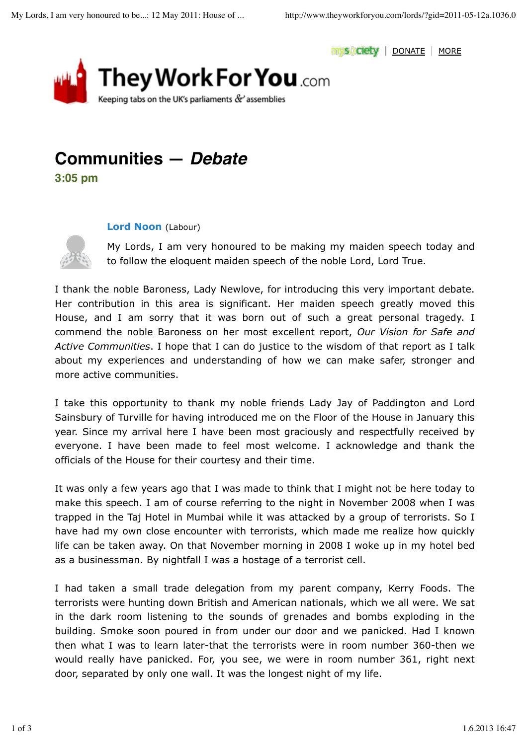



## **Communities —** *Debate*

**3:05 pm**

## **Lord Noon** (Labour)



My Lords, I am very honoured to be making my maiden speech today and to follow the eloquent maiden speech of the noble Lord, Lord True.

I thank the noble Baroness, Lady Newlove, for introducing this very important debate. Her contribution in this area is significant. Her maiden speech greatly moved this House, and I am sorry that it was born out of such a great personal tragedy. I commend the noble Baroness on her most excellent report, *Our Vision for Safe and Active Communities*. I hope that I can do justice to the wisdom of that report as I talk about my experiences and understanding of how we can make safer, stronger and more active communities.

I take this opportunity to thank my noble friends Lady Jay of Paddington and Lord Sainsbury of Turville for having introduced me on the Floor of the House in January this year. Since my arrival here I have been most graciously and respectfully received by everyone. I have been made to feel most welcome. I acknowledge and thank the officials of the House for their courtesy and their time.

It was only a few years ago that I was made to think that I might not be here today to make this speech. I am of course referring to the night in November 2008 when I was trapped in the Taj Hotel in Mumbai while it was attacked by a group of terrorists. So I have had my own close encounter with terrorists, which made me realize how quickly life can be taken away. On that November morning in 2008 I woke up in my hotel bed as a businessman. By nightfall I was a hostage of a terrorist cell.

I had taken a small trade delegation from my parent company, Kerry Foods. The terrorists were hunting down British and American nationals, which we all were. We sat in the dark room listening to the sounds of grenades and bombs exploding in the building. Smoke soon poured in from under our door and we panicked. Had I known then what I was to learn later-that the terrorists were in room number 360-then we would really have panicked. For, you see, we were in room number 361, right next door, separated by only one wall. It was the longest night of my life.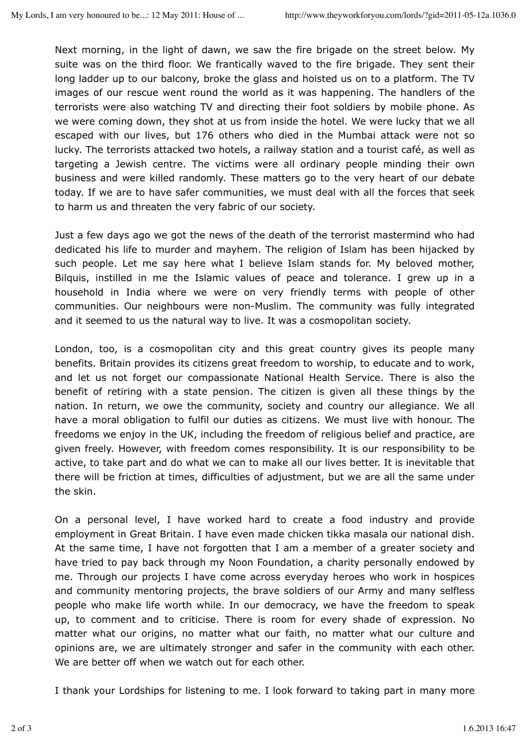Next morning, in the light of dawn, we saw the fire brigade on the street below. My suite was on the third floor. We frantically waved to the fire brigade. They sent their long ladder up to our balcony, broke the glass and hoisted us on to a platform. The TV images of our rescue went round the world as it was happening. The handlers of the terrorists were also watching TV and directing their foot soldiers by mobile phone. As we were coming down, they shot at us from inside the hotel. We were lucky that we all escaped with our lives, but 176 others who died in the Mumbai attack were not so lucky. The terrorists attacked two hotels, a railway station and a tourist café, as well as targeting a Jewish centre. The victims were all ordinary people minding their own business and were killed randomly. These matters go to the very heart of our debate today. If we are to have safer communities, we must deal with all the forces that seek to harm us and threaten the very fabric of our society.

Just a few days ago we got the news of the death of the terrorist mastermind who had dedicated his life to murder and mayhem. The religion of Islam has been hijacked by such people. Let me say here what I believe Islam stands for. My beloved mother, Bilquis, instilled in me the Islamic values of peace and tolerance. I grew up in a household in India where we were on very friendly terms with people of other communities. Our neighbours were non-Muslim. The community was fully integrated and it seemed to us the natural way to live. It was a cosmopolitan society.

London, too, is a cosmopolitan city and this great country gives its people many benefits. Britain provides its citizens great freedom to worship, to educate and to work, and let us not forget our compassionate National Health Service. There is also the benefit of retiring with a state pension. The citizen is given all these things by the nation. In return, we owe the community, society and country our allegiance. We all have a moral obligation to fulfil our duties as citizens. We must live with honour. The freedoms we enjoy in the UK, including the freedom of religious belief and practice, are given freely. However, with freedom comes responsibility. It is our responsibility to be active, to take part and do what we can to make all our lives better. It is inevitable that there will be friction at times, difficulties of adjustment, but we are all the same under the skin.

On a personal level, I have worked hard to create a food industry and provide employment in Great Britain. I have even made chicken tikka masala our national dish. At the same time, I have not forgotten that I am a member of a greater society and have tried to pay back through my Noon Foundation, a charity personally endowed by me. Through our projects I have come across everyday heroes who work in hospices and community mentoring projects, the brave soldiers of our Army and many selfless people who make life worth while. In our democracy, we have the freedom to speak up, to comment and to criticise. There is room for every shade of expression. No matter what our origins, no matter what our faith, no matter what our culture and opinions are, we are ultimately stronger and safer in the community with each other. We are better off when we watch out for each other.

I thank your Lordships for listening to me. I look forward to taking part in many more